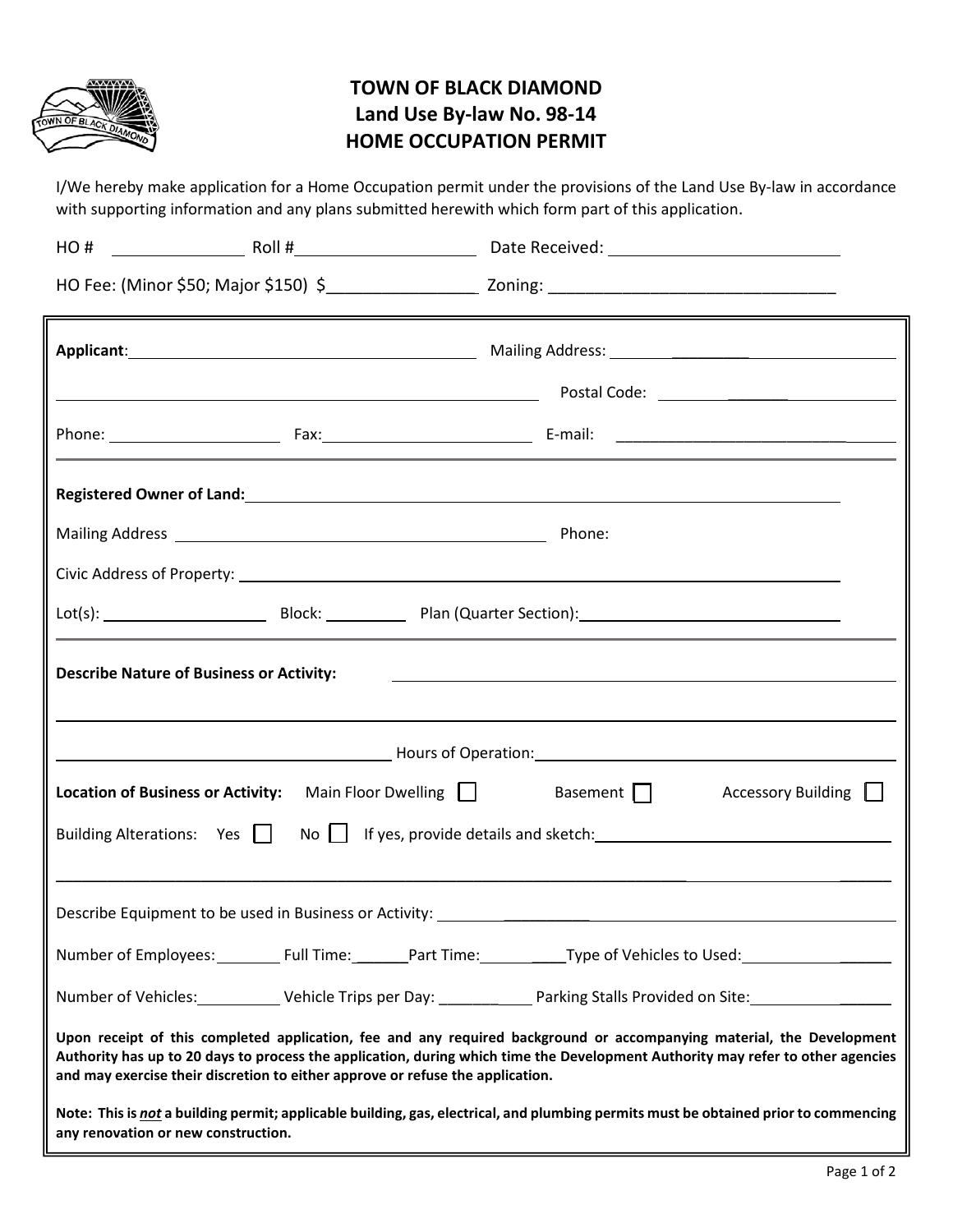

## **TOWN OF BLACK DIAMOND Land Use By-law No. 98-14 HOME OCCUPATION PERMIT**

I/We hereby make application for a Home Occupation permit under the provisions of the Land Use By-law in accordance with supporting information and any plans submitted herewith which form part of this application.

|                                                                                                                                                                                                                                                                                                                                            |  | Registered Owner of Land: North American Communication of Land Communication of Land Communication of Land Comm      |  |  |
|--------------------------------------------------------------------------------------------------------------------------------------------------------------------------------------------------------------------------------------------------------------------------------------------------------------------------------------------|--|----------------------------------------------------------------------------------------------------------------------|--|--|
|                                                                                                                                                                                                                                                                                                                                            |  | Phone:                                                                                                               |  |  |
|                                                                                                                                                                                                                                                                                                                                            |  |                                                                                                                      |  |  |
|                                                                                                                                                                                                                                                                                                                                            |  |                                                                                                                      |  |  |
| <b>Describe Nature of Business or Activity:</b>                                                                                                                                                                                                                                                                                            |  |                                                                                                                      |  |  |
|                                                                                                                                                                                                                                                                                                                                            |  |                                                                                                                      |  |  |
| Location of Business or Activity: Main Floor Dwelling<br>Basement    <br>Accessory Building                                                                                                                                                                                                                                                |  |                                                                                                                      |  |  |
|                                                                                                                                                                                                                                                                                                                                            |  |                                                                                                                      |  |  |
| Describe Equipment to be used in Business or Activity: \\connection\\connection\\connection\\connection\\conne                                                                                                                                                                                                                             |  |                                                                                                                      |  |  |
|                                                                                                                                                                                                                                                                                                                                            |  | Number of Employees: ____________Full Time: ________Part Time: ___________Type of Vehicles to Used: ________________ |  |  |
| Number of Vehicles: ____________ Vehicle Trips per Day: _______________ Parking Stalls Provided on Site: _____________________________                                                                                                                                                                                                     |  |                                                                                                                      |  |  |
| Upon receipt of this completed application, fee and any required background or accompanying material, the Development<br>Authority has up to 20 days to process the application, during which time the Development Authority may refer to other agencies<br>and may exercise their discretion to either approve or refuse the application. |  |                                                                                                                      |  |  |
| Note: This is not a building permit; applicable building, gas, electrical, and plumbing permits must be obtained prior to commencing<br>any renovation or new construction.                                                                                                                                                                |  |                                                                                                                      |  |  |